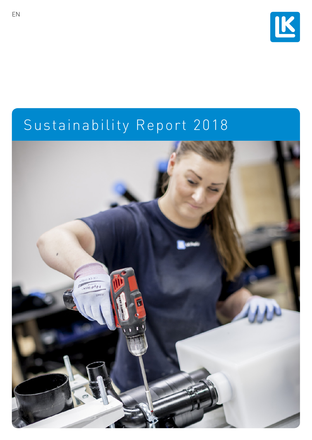

# Sustainability Report 2018

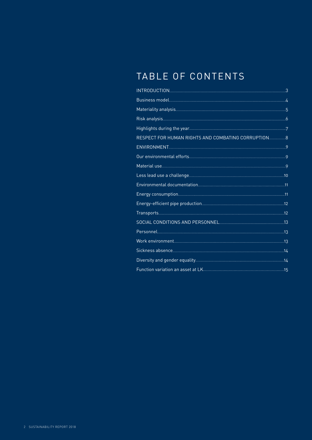# TABLE OF CONTENTS

| Business model 2000 to 2000 to 2000 to 2000 to 2000 to 2000 to 2000 to 2000 to 2000 to 2000 to 2000 to 2000 to |  |
|----------------------------------------------------------------------------------------------------------------|--|
|                                                                                                                |  |
|                                                                                                                |  |
|                                                                                                                |  |
| RESPECT FOR HUMAN RIGHTS AND COMBATING CORRUPTION                                                              |  |
| ENVIRONMENT POWER AND THE RESERVE OF THE RESERVE OF THE RESERVE OF THE RESERVE OF THE RESERVE OF THE RESERVE O |  |
|                                                                                                                |  |
|                                                                                                                |  |
|                                                                                                                |  |
|                                                                                                                |  |
|                                                                                                                |  |
|                                                                                                                |  |
|                                                                                                                |  |
| SOCIAL CONDITIONS AND PERSONNEL <b>CONNUMICAL CONDITIONS</b>                                                   |  |
|                                                                                                                |  |
|                                                                                                                |  |
|                                                                                                                |  |
|                                                                                                                |  |
|                                                                                                                |  |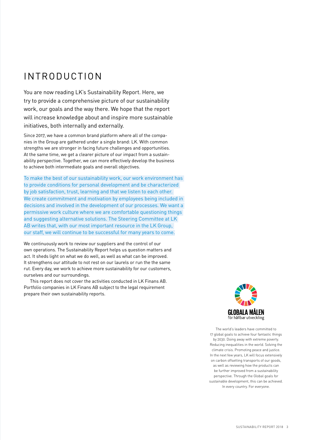# <span id="page-2-0"></span>INTRODUCTION

You are now reading LK's Sustainability Report. Here, we try to provide a comprehensive picture of our sustainability work, our goals and the way there. We hope that the report will increase knowledge about and inspire more sustainable initiatives, both internally and externally.

Since 2017, we have a common brand platform where all of the companies in the Group are gathered under a single brand: LK. With common strengths we are stronger in facing future challenges and opportunities. At the same time, we get a clearer picture of our impact from a sustainability perspective. Together, we can more effectively develop the business to achieve both intermediate goals and overall objectives.

To make the best of our sustainability work, our work environment has to provide conditions for personal development and be characterized by job satisfaction, trust, learning and that we listen to each other. We create commitment and motivation by employees being included in decisions and involved in the development of our processes. We want a permissive work culture where we are comfortable questioning things and suggesting alternative solutions. The Steering Committee at LK AB writes that, with our most important resource in the LK Group, our staff, we will continue to be successful for many years to come.

We continuously work to review our suppliers and the control of our own operations. The Sustainability Report helps us question matters and act. It sheds light on what we do well, as well as what can be improved. It strengthens our attitude to not rest on our laurels or run the the same rut. Every day, we work to achieve more sustainability for our customers, ourselves and our surroundings.

This report does not cover the activities conducted in LK Finans AB. Portfolio companies in LK Finans AB subject to the legal requirement prepare their own sustainability reports.



The world's leaders have committed to 17 global goals to achieve four fantastic things by 2030. Doing away with extreme poverty. Reducing inequalities in the world. Solving the climate crisis. Promoting peace and justice. In the next few years, LK will focus extensively on carbon offsetting transports of our goods, as well as reviewing how the products can be further improved from a sustainability perspective. Through the Global goals for sustainable development, this can be achieved. In every country. For everyone.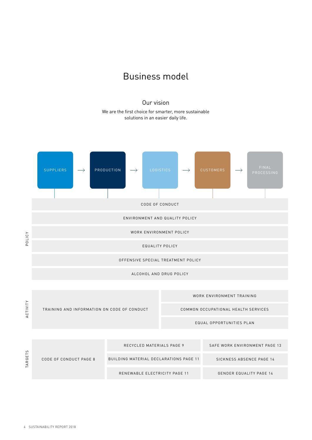## Business model

#### Our vision

We are the first choice for smarter, more sustainable solutions in an easier daily life.

<span id="page-3-0"></span>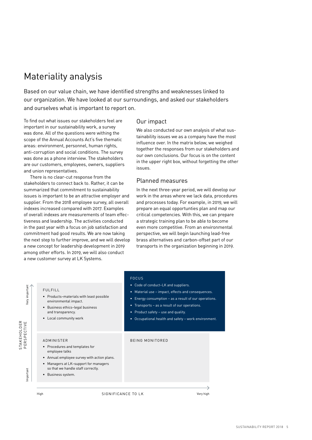# <span id="page-4-0"></span>Materiality analysis

Based on our value chain, we have identified strengths and weaknesses linked to our organization. We have looked at our surroundings, and asked our stakeholders and ourselves what is important to report on.

To find out what issues our stakeholders feel are important in our sustainability work, a survey was done. All of the questions were withing the scope of the Annual Accounts Act's five thematic areas: environment, personnel, human rights, anti-corruption and social conditions. The survey was done as a phone interview. The stakeholders are our customers, employees, owners, suppliers and union representatives.

There is no clear-cut response from the stakeholders to connect back to. Rather, it can be summarized that commitment to sustainability issues is important to be an attractive employer and supplier. From the 2018 employee survey, all overall indexes increased compared with 2017. Examples of overall indexes are measurements of team effectiveness and leadership. The activities conducted in the past year with a focus on job satisfaction and commitment had good results. We are now taking the next step to further improve, and we will develop a new concept for leadership development in 2019 among other efforts. In 2019, we will also conduct a new customer survey at LK Systems.

#### Our impact

We also conducted our own analysis of what sustainability issues we as a company have the most influence over. In the matrix below, we weighed together the responses from our stakeholders and our own conclusions. Our focus is on the content in the upper right box, without forgetting the other issues.

#### Planned measures

In the next three-year period, we will develop our work in the areas where we lack data, procedures and processes today. For example, in 2019, we will prepare an equal opportunties plan and map our critical competencies. With this, we can prepare a strategic training plan to be able to become even more competitive. From an environmental perspective, we will begin launching lead-free brass alternatives and carbon-offset part of our transports in the organization beginning in 2019.

FULFILL

- Products–materials with least possible environmental impact.
- Business ethics–legal business and transparency.
- Local community work

### STAKEHOLDER<br>PERSPECTIVE STAKEHOLDER PERSPECTIVE

Important

Very important

**Jery** important

#### FOCUS

- Code of conduct–LK and suppliers.
- Material use impact, effects and consequences
- Energy consumption as a result of our operations.
- Transports as a result of our operations.
- Product safety use and quality.
- Occupational health and safety work environment.

#### BEING MONITORED

- Procedures and templates for employee talks
- Annual employee survey with action plans.
- Managers at LK–support for managers so that we handle staff correctly.
- Business system.

ADMINISTER

High SIGNIFICANCE TO LK Very high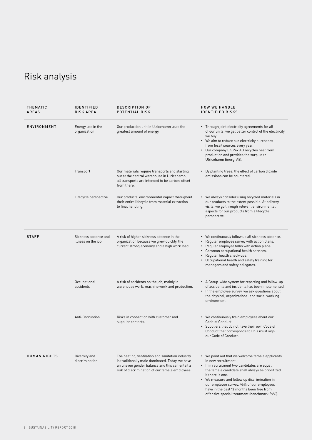# <span id="page-5-0"></span>Risk analysis

| THEMATIC<br><b>AREAS</b> | <b>IDENTIFIED</b><br><b>RISK AREA</b>      | <b>DESCRIPTION OF</b><br>POTENTIAL RISK                                                                                                                                                                  | <b>HOW WE HANDLE</b><br><b>IDENTIFIED RISKS</b>                                                                                                                                                                                                                                                                                                                                            |
|--------------------------|--------------------------------------------|----------------------------------------------------------------------------------------------------------------------------------------------------------------------------------------------------------|--------------------------------------------------------------------------------------------------------------------------------------------------------------------------------------------------------------------------------------------------------------------------------------------------------------------------------------------------------------------------------------------|
| ENVIRONMENT              | Energy use in the<br>organization          | Our production unit in Ulricehamn uses the<br>greatest amount of energy.                                                                                                                                 | • Through joint electricity agreements for all<br>of our units, we get better control of the electricity<br>we buy.<br>• We aim to reduce our electricity purchases<br>from fossil sources every year.<br>• Our company LK Pex AB recycles heat from<br>production and provides the surplus to<br>Ulricehamn Energi AB.                                                                    |
|                          | Transport                                  | Our materials require transports and starting<br>out at the central warehouse in Ulricehamn,<br>all transports are intended to be carbon-offset<br>from there.                                           | • By planting trees, the effect of carbon dioxide<br>emissions can be countered.                                                                                                                                                                                                                                                                                                           |
|                          | Lifecycle perspective                      | Our products' environmental impact throughout<br>their entire lifecycle from material extraction<br>to final handling.                                                                                   | • We always consider using recycled materials in<br>our products to the extent possible. At delivery<br>visits, we go through relevant environmental<br>aspects for our products from a lifecycle<br>perspective.                                                                                                                                                                          |
| <b>STAFF</b>             | Sickness absence and<br>illness on the job | A risk of higher sickness absence in the<br>organization because we grew quickly, the<br>current strong economy and a high work load.                                                                    | • We continuously follow up all sickness absence.<br>• Regular employee survey with action plans.<br>Regular employee talks with action plans.<br>• Common occupational health services.<br>• Regular health check-ups.<br>• Occupational health and safety training for<br>managers and safety delegates.                                                                                 |
|                          | Occupational<br>accidents                  | A risk of accidents on the job, mainly in<br>warehouse work, machine work and production.                                                                                                                | • A Group-wide system for reporting and follow-up<br>of accidents and incidents has been implemented.<br>• In the employee survey, we ask questions about<br>the physical, organizational and social working<br>environment.                                                                                                                                                               |
|                          | Anti-Corruption                            | Risks in connection with customer and<br>supplier contacts.                                                                                                                                              | • We continuously train employees about our<br>Code of Conduct.<br>• Suppliers that do not have their own Code of<br>Conduct that corresponds to LK's must sign<br>our Code of Conduct.                                                                                                                                                                                                    |
| <b>HUMAN RIGHTS</b>      | Diversity and<br>discrimination            | The heating, ventilation and sanitation industry<br>is traditionally male dominated. Today, we have<br>an uneven gender balance and this can entail a<br>risk of discrimination of our female employees. | • We point out that we welcome female applicants<br>in new recruitment.<br>• If in recruitment two candidates are equal,<br>the female candidate shall always be prioritized<br>if there is one.<br>• We measure and follow up discrimination in<br>our employee survey. 96% of our employees<br>have in the past 12 months been free from<br>offensive special treatment (benchmark 87%). |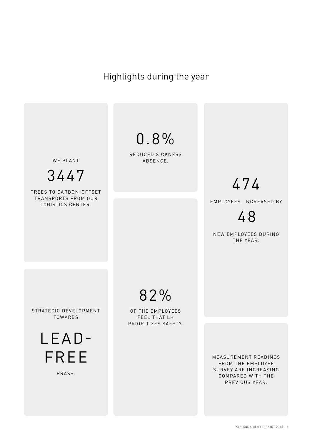# <span id="page-6-0"></span>Highlights during the year

WE PLANT

3447

TREES TO CARBON-OFFSET TRANSPORTS FROM OUR LOGISTICS CENTER.

0.8%

REDUCED SICKNESS ABSENCE.

# 474

EMPLOYEES. INCREASED BY

48

NEW EMPLOYEES DURING THE YEAR.

STRATEGIC DEVELOPMENT TOWARDS

> LEAD-FREE

> > BRASS.

82%

OF THE EMPLOYEES FEEL THAT LK PRIORITIZES SAFETY.

> MEASUREMENT READINGS FROM THE EMPLOYEE SURVEY ARE INCREASING COMPARED WITH THE PREVIOUS YEAR.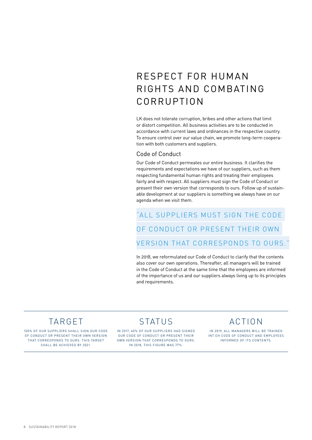# <span id="page-7-0"></span>RESPECT FOR HUMAN RIGHTS AND COMBATING CORRUPTION

LK does not tolerate corruption, bribes and other actions that limit or distort competition. All business activities are to be conducted in accordance with current laws and ordinances in the respective country. To ensure control over our value chain, we promote long-term cooperation with both customers and suppliers.

#### Code of Conduct

Our Code of Conduct permeates our entire business. It clarifies the requirements and expectations we have of our suppliers, such as them respecting fundamental human rights and treating their employees fairly and with respect. All suppliers must sign the Code of Conduct or present their own version that corresponds to ours. Follow up of sustainable development at our suppliers is something we always have on our agenda when we visit them.

# "ALL SUPPLIERS MUST SIGN THE CODE OF CONDUCT OR PRESENT THEIR OWN VERSION THAT CORRESPONDS TO OURS."

In 2018, we reformulated our Code of Conduct to clarify that the contents also cover our own operations. Thereafter, all managers will be trained in the Code of Conduct at the same time that the employees are informed of the importance of us and our suppliers always living up to its principles and requirements.

### TARGET

100% OF OUR SUPPLIERS SHALL SIGN OUR CODE OF CONDUCT OR PRESENT THEIR OWN VERSION THAT CORRESPONDS TO OURS. THIS TARGET SHALL BE ACHIEVED BY 2021.

STATUS

IN 2017, 60% OF OUR SUPPLIERS HAD SIGNED OUR CODE OF CONDUCT OR PRESENT THEIR OWN VERSION THAT CORRESPONDS TO OURS. IN 2018, THIS FIGURE WAS 77%.

IN 2019, ALL MANAGERS WILL BE TRAINED INT EH CODE OF CONDUCT AND EMPLOYEES INFORMED OF ITS CONTENTS.

ACTION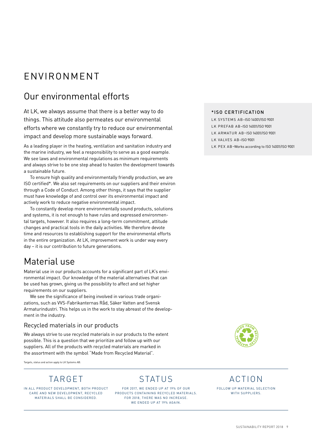# <span id="page-8-0"></span>ENVIRONMENT

# Our environmental efforts

At LK, we always assume that there is a better way to do things. This attitude also permeates our environmental efforts where we constantly try to reduce our environmental impact and develop more sustainable ways forward.

As a leading player in the heating, ventilation and sanitation industry and the marine industry, we feel a responsibility to serve as a good example. We see laws and environmental regulations as minimum requirements and always strive to be one step ahead to hasten the development towards a sustainable future.

To ensure high quality and environmentally friendly production, we are ISO certified\*. We also set requirements on our suppliers and their environ through a Code of Conduct. Among other things, it says that the supplier must have knowledge of and control over its environmental impact and actively work to reduce negative environmental impact.

To constantly develop more environmentally sound products, solutions and systems, it is not enough to have rules and expressed environmental targets, however. It also requires a long-term commitment, attitude changes and practical tools in the daily activities. We therefore devote time and resources to establishing support for the environmental efforts in the entire organization. At LK, improvement work is under way every day – it is our contribution to future generations.

### Material use

Material use in our products accounts for a significant part of LK's environmental impact. Our knowledge of the material alternatives that can be used has grown, giving us the possibility to affect and set higher requirements on our suppliers.

We see the significance of being involved in various trade organizations, such as VVS-Fabrikanternas Råd, Säker Vatten and Svensk Armaturindustri. This helps us in the work to stay abreast of the development in the industry.

#### Recycled materials in our products

We always strive to use recycled materials in our products to the extent possible. This is a question that we prioritize and follow up with our suppliers. All of the products with recycled materials are marked in the assortment with the symbol "Made from Recycled Material".

Targets, status and action apply to LK Systems AB.

# TARGET

IN ALL PRODUCT DEVELOPMENT, BOTH PRODUCT CARE AND NEW DEVELOPMENT, RECYCLED MATERIALS SHALL BE CONSIDERED.

STATUS

FOR 2017, WE ENDED UP AT 19% OF OUR PRODUCTS CONTAINING RECYCLED MATERIALS. FOR 2018, THERE WAS NO INCREASE. WE ENDED UP AT 19% AGAIN.

#### \*ISO CERTIFICATION

LK SYSTEMS AB–ISO 14001/ISO 9001 LK PREFAB AB–ISO 14001/ISO 9001 LK ARMATUR AB–ISO 14001/ISO 9001 LK VALVES AB–ISO 9001 LK PEX AB–Works according to ISO 14001/ISO 9001



### ACTION

FOLLOW UP MATERIAL SELECTION WITH SUPPLIERS.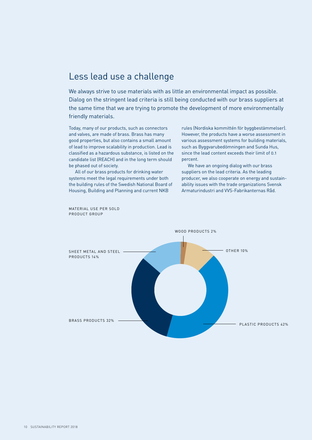### <span id="page-9-0"></span>Less lead use a challenge

We always strive to use materials with as little an environmental impact as possible. Dialog on the stringent lead criteria is still being conducted with our brass suppliers at the same time that we are trying to promote the development of more environmentally friendly materials.

Today, many of our products, such as connectors and valves, are made of brass. Brass has many good properties, but also contains a small amount of lead to improve scalability in production. Lead is classified as a hazardous substance, is listed on the candidate list (REACH) and in the long term should be phased out of society.

All of our brass products for drinking water systems meet the legal requirements under both the building rules of the Swedish National Board of Housing, Building and Planning and current NKB

rules (Nordiska kommittén för byggbestämmelser). However, the products have a worse assessment in various assessment systems for building materials, such as Byggvarubedömningen and Sunda Hus, since the lead content exceeds their limit of 0.1 percent.

We have an ongoing dialog with our brass suppliers on the lead criteria. As the leading producer, we also cooperate on energy and sustainability issues with the trade organizations Svensk Armaturindustri and VVS-Fabrikanternas Råd.



MATERIAL USE PER SOLD PRODUCT GROUP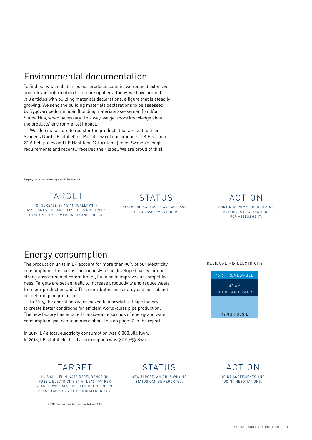### <span id="page-10-0"></span>Environmental documentation

To find out what substances our products contain, we request extensive and relevant information from our suppliers. Today, we have around 750 articles with building materials declarations, a figure that is steadily growing. We send the building materials declarations to be assessed by Byggvarubedömningen (building materials assessment) and/or Sunda Hus, when necessary. This way, we get more knowledge about the products' environmental impact.

We also make sure to register the products that are suitable for Svanens Nordic Ecolabelling Portal. Two of our products (LK Heatfloor 22 V-belt pulley and LK Heatfloor 22 turntable) meet Svanen's tough requirements and recently received their label. We are proud of this!

Targets, status and action apply to LK Systems AB.

# TARGET

TO INCREASE BY 4% ANNUALLY WITH ASSESSMENT OF ARTICLES (DOES NOT APPLY TO SPARE PARTS, MACHINERY AND TOOLS).

#### STATUS

28% OF OUR ARTICLES ARE ASSESSED AT AN ASSESSMENT BODY.

### ACTION

CONTINUOUSLY SEND BUILDING MATERIALS DECLARATIONS FOR ASSESSMENT.

## Energy consumption

The production units in LK account for more than 90% of our electricity consumption. This part is continuously being developed partly for our strong environmental commitment, but also to improve our competitiveness. Targets are set annually to increase productivity and reduce waste from our production units. This contributes less energy use per cabinet or meter of pipe produced.

In 2014, the operations were moved to a newly built pipe factory to create better conditions for efficient world-class pipe production. The new factory has entailed considerable savings of energy and water consumption; you can read more about this on page 12 in the report.

In 2017, LK's total electricity consumption was 8,888,084 Kwh. In 2018, LK's total electricity consumption was 9,011,659 Kwh.

#### RESIDUAL MIX ELECTRICITY



### TARGET

LK SHALL ELIMINATE DEPENDENCE ON FOSSIL ELECTRICITY BY AT LEAST 5% PER YEAR. IT WILL ALSO BE SEEN IF THE ENTIRE PERCENTAGE CAN BE ELIMINATED IN 2019.

In 2018, the fossil electricity accounted for 42.8%

# STATUS

NEW TARGET, WHICH IS WHY NO STATUS CAN BE REPORTED.

#### ACTION

JOINT AGREEMENTS AND JOINT NEGOTIATIONS.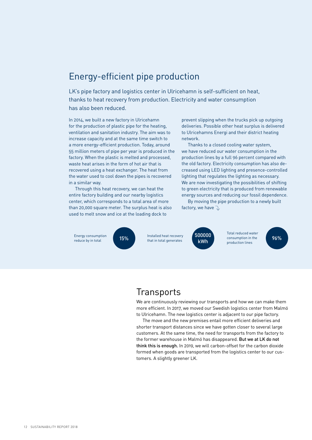### <span id="page-11-0"></span>Energy-efficient pipe production

LK's pipe factory and logistics center in Ulricehamn is self-sufficient on heat, thanks to heat recovery from production. Electricity and water consumption has also been reduced.

In 2014, we built a new factory in Ulricehamn for the production of plastic pipe for the heating. ventilation and sanitation industry. The aim was to increase capacity and at the same time switch to a more energy-efficient production. Today, around 55 million meters of pipe per year is produced in the factory. When the plastic is melted and processed, waste heat arises in the form of hot air that is recovered using a heat exchanger. The heat from the water used to cool down the pipes is recovered in a similar way.

Through this heat recovery, we can heat the entire factory building and our nearby logistics center, which corresponds to a total area of more than 20,000 square meter. The surplus heat is also used to melt snow and ice at the loading dock to

prevent slipping when the trucks pick up outgoing deliveries. Possible other heat surplus is delivered to Ulricehamns Energi and their district heating network.

Thanks to a closed cooling water system, we have reduced our water consumption in the production lines by a full 96 percent compared with the old factory. Electricity consumption has also decreased using LED lighting and presence-controlled lighting that regulates the lighting as necessary. We are now investigating the possibilities of shifting to green electricity that is produced from renewable energy sources and reducing our fossil dependence.

By moving the pipe production to a newly built factory, we have  $\sqrt{ }$ 

Energy consumption **15%**<br>reduce by in total reduce by in total **15%** that in total generates **the UNIX of the CONSUMERTY** consumption in the 196%

Installed heat recovery that in total generates



Total reduced water consumption in the production lines

### **Transports**

We are continuously reviewing our transports and how we can make them more efficient. In 2017, we moved our Swedish logistics center from Malmö to Ulricehamn. The new logistics center is adjacent to our pipe factory.

The move and the new premises entail more efficient deliveries and shorter transport distances since we have gotten closer to several large customers. At the same time, the need for transports from the factory to the former warehouse in Malmö has disappeared. But we at LK do not think this is enough. In 2019, we will carbon-offset for the carbon dioxide formed when goods are transported from the logistics center to our customers. A slightly greener LK.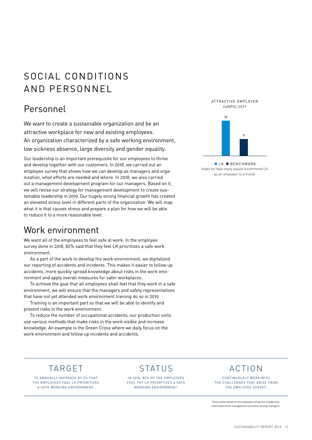# <span id="page-12-0"></span>SOCIAL CONDITIONS AND PERSONNEL

## Personnel

We want to create a sustainable organization and be an attractive workplace for new and existing employees. An organization characterized by a safe working environment, low sickness absence, large diversity and gender equality.

Our leadership is an important prerequisite for our employees to thrive and develop together with our customers. In 2018, we carried out an employee survey that shows how we can develop as managers and organization, what efforts are needed and where. In 2018, we also carried out a management development program for our managers. Based on it, we will revise our strategy for management development to create sustainable leadership in 2019. Our hugely strong financial growth has created an elevated stress level in different parts of the organization. We will map what it is that causes stress and prepare a plan for how we will be able to reduce it to a more reasonable level.

### Work environment

We want all of the employees to feel safe at work. In the employee survey done in 2018, 82% said that they feel LK prioritizes a safe work environment.

As a part of the work to develop the work environment, we digitalized our reporting of accidents and incidents. This makes it easier to follow up accidents, more quickly spread knowledge about risks in the work environment and apply overall measures for safer workplaces.

To achieve the goal that all employees shall feel that they work in a safe environment, we will ensure that the managers and safety representatives that have not yet attended work environment training do so in 2019.

Training is an important part so that we will be able to identify and prevent risks in the work environment.

To reduce the number of occupational accidents, our production units use various methods that make risks in the work visible and increase knowledge. An example is the Green Cross where we daily focus on the work environment and follow up incidents and accidents.

ATTRACTIVE EMPLOYER (eNPS) 2017



**• LK • BENCHMARK** Index for how many would recommend LK as an employer to a friend.

# TARGET

TO ANNUALLY INCREASE BY 2% THAT THE EMPLOYEES FEEL LK PRIORITIZES A SAFE WORKING ENVIRONMENT.

# STATUS

IN 2018, 82% OF THE EMPLOYEES FEEL THT LK PRIORITIZES A SAFE WORKING ENVIRONMENT.

# ACTION

CONTINUOUSLY WORK WITH THE CHALLENGES THAT ARISE FROM THE EMPLOYEE SURVEY

Focus areas based on the employee survey are: Leadership, information from management and stress among managers.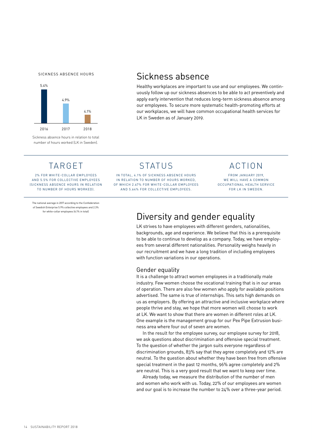<span id="page-13-0"></span>SICKNESS ABSENCE HOURS



Sickness absence hours in relation to total number of hours worked (LK in Sweden).

#### Sickness absence

Healthy workplaces are important to use and our employees. We continuously follow up our sickness absences to be able to act preventively and apply early intervention that reduces long-term sickness absence among our employees. To secure more systematic health-promoting efforts at our workplaces, we will have common occupational health services for LK in Sweden as of January 2019.

### TARGET

2% FOR WHITE-COLLAR EMPLOYEES AND 5.5% FOR COLLECTIVE EMPLOYEES (SICKNESS ABSENCE HOURS IN RELATION TO NUMBER OF HOURS WORKED).

The national average in 2017 according to the Confederation of Swedish Enterprise 5.9% collective employees and 2.3% for white-collar employees (4.1% in total)

### **STATUS**

IN TOTAL, 4.1% OF SICKNESS ABSENCE HOURS IN RELATION TO NUMBER OF HOURS WORKED, OF WHICH 2.67% FOR WHITE-COLLAR EMPLOYEES AND 5.64% FOR COLLECTIVE EMPLOYEES.

ACTION

FROM JANUARY 2019, WE WILL HAVE A COMMON OCCUPATIONAL HEALTH SERVICE FOR LK IN SWEDEN.

# Diversity and gender equality

LK strives to have employees with different genders, nationalities, backgrounds, age and experience. We believe that this is a prerequisite to be able to continue to develop as a company. Today, we have employees from several different nationalities. Personality weighs heavily in our recruitment and we have a long tradition of including employees with function variations in our operations.

#### Gender equality

It is a challenge to attract women employees in a traditionally male industry. Few women choose the vocational training that is in our areas of operation. There are also few women who apply for available positions advertised. The same is true of internships. This sets high demands on us as employers. By offering an attractive and inclusive workplace where people thrive and stay, we hope that more women will choose to work at LK. We want to show that there are women in different roles at LK. One example is the management group for our Pex Pipe Extrusion business area where four out of seven are women.

In the result for the employee survey, our employee survey for 2018, we ask questions about discrimination and offensive special treatment. To the question of whether the jargon suits everyone regardless of discrimination grounds, 83% say that they agree completely and 12% are neutral. To the question about whether they have been free from offensive special treatment in the past 12 months, 96% agree completely and 2% are neutral. This is a very good result that we want to keep over time.

Already today, we measure the distribution of the number of men and women who work with us. Today, 22% of our employees are women and our goal is to increase the number to 24% over a three-year period.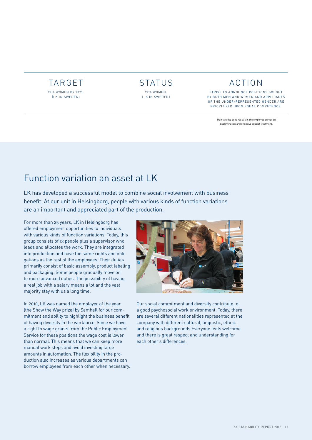#### <span id="page-14-0"></span>TARGET 24% WOMEN BY 2021. (LK IN SWEDEN)



### ACTION

STRIVE TO ANNOUNCE POSITIONS SOUGHT BY BOTH MEN AND WOMEN AND APPLICANTS OF THE UNDER-REPRESENTED GENDER ARE PRIORITIZED UPON EQUAL COMPETENCE.

> Maintain the good results in the employee survey on discrimination and offensive special treatment.

# Function variation an asset at LK

LK has developed a successful model to combine social involvement with business benefit. At our unit in Helsingborg, people with various kinds of function variations are an important and appreciated part of the production.

For more than 25 years, LK in Helsingborg has offered employment opportunities to individuals with various kinds of function variations. Today, this group consists of 13 people plus a supervisor who leads and allocates the work. They are integrated into production and have the same rights and obligations as the rest of the employees. Their duties primarily consist of basic assembly, product labeling and packaging. Some people gradually move on to more advanced duties. The possibility of having a real job with a salary means a lot and the vast majority stay with us a long time.

In 2010, LK was named the employer of the year (the Show the Way prize) by Samhall for our commitment and ability to highlight the business benefit of having diversity in the workforce. Since we have a right to wage grants from the Public Employment Service for these positions the wage cost is lower than normal. This means that we can keep more manual work steps and avoid investing large amounts in automation. The flexibility in the production also increases as various departments can borrow employees from each other when necessary.



Our social commitment and diversity contribute to a good psychosocial work environment. Today, there are several different nationalities represented at the company with different cultural, linguistic, ethnic and religious backgrounds Everyone feels welcome and there is great respect and understanding for each other's differences.